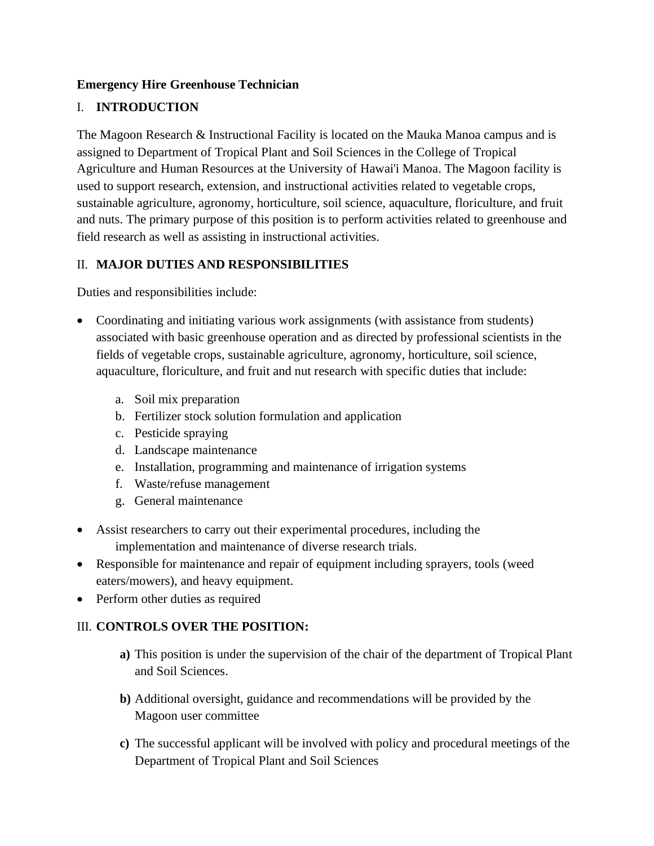#### **Emergency Hire Greenhouse Technician**

# I. **INTRODUCTION**

The Magoon Research & Instructional Facility is located on the Mauka Manoa campus and is assigned to Department of Tropical Plant and Soil Sciences in the College of Tropical Agriculture and Human Resources at the University of Hawai'i Manoa. The Magoon facility is used to support research, extension, and instructional activities related to vegetable crops, sustainable agriculture, agronomy, horticulture, soil science, aquaculture, floriculture, and fruit and nuts. The primary purpose of this position is to perform activities related to greenhouse and field research as well as assisting in instructional activities.

### II. **MAJOR DUTIES AND RESPONSIBILITIES**

Duties and responsibilities include:

- Coordinating and initiating various work assignments (with assistance from students) associated with basic greenhouse operation and as directed by professional scientists in the fields of vegetable crops, sustainable agriculture, agronomy, horticulture, soil science, aquaculture, floriculture, and fruit and nut research with specific duties that include:
	- a. Soil mix preparation
	- b. Fertilizer stock solution formulation and application
	- c. Pesticide spraying
	- d. Landscape maintenance
	- e. Installation, programming and maintenance of irrigation systems
	- f. Waste/refuse management
	- g. General maintenance
- Assist researchers to carry out their experimental procedures, including the implementation and maintenance of diverse research trials.
- Responsible for maintenance and repair of equipment including sprayers, tools (weed eaters/mowers), and heavy equipment.
- Perform other duties as required

### III. **CONTROLS OVER THE POSITION:**

- **a)** This position is under the supervision of the chair of the department of Tropical Plant and Soil Sciences.
- **b)** Additional oversight, guidance and recommendations will be provided by the Magoon user committee
- **c)** The successful applicant will be involved with policy and procedural meetings of the Department of Tropical Plant and Soil Sciences